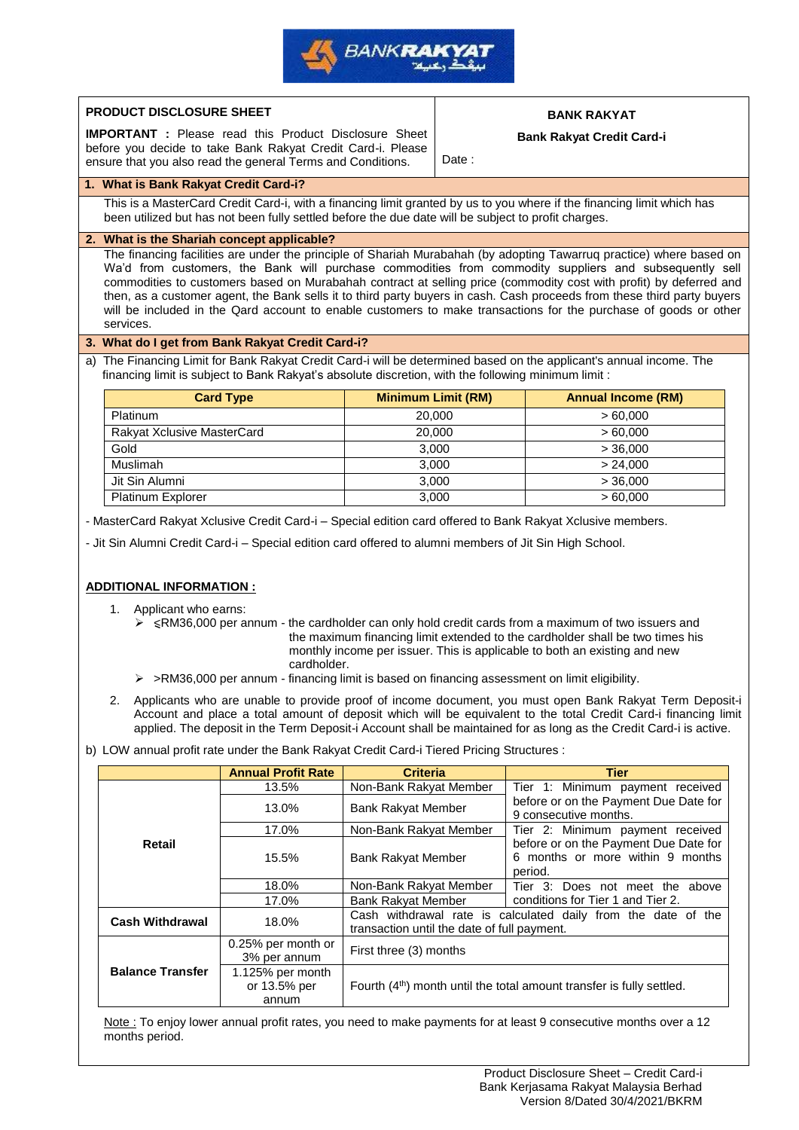

| PRODUCT DISCLOSURE SHEET                                                                                                    |                                                                                                                                                                                                                               |                                             |                                  | <b>BANK RAKYAT</b>                                                                                                                                                                                                                                                                                                                                                                                                                                                                                                                                                                                                                                                                         |
|-----------------------------------------------------------------------------------------------------------------------------|-------------------------------------------------------------------------------------------------------------------------------------------------------------------------------------------------------------------------------|---------------------------------------------|----------------------------------|--------------------------------------------------------------------------------------------------------------------------------------------------------------------------------------------------------------------------------------------------------------------------------------------------------------------------------------------------------------------------------------------------------------------------------------------------------------------------------------------------------------------------------------------------------------------------------------------------------------------------------------------------------------------------------------------|
| <b>IMPORTANT</b> : Please read this Product Disclosure Sheet<br>before you decide to take Bank Rakyat Credit Card-i. Please |                                                                                                                                                                                                                               |                                             | <b>Bank Rakyat Credit Card-i</b> |                                                                                                                                                                                                                                                                                                                                                                                                                                                                                                                                                                                                                                                                                            |
|                                                                                                                             | ensure that you also read the general Terms and Conditions.                                                                                                                                                                   |                                             | Date:                            |                                                                                                                                                                                                                                                                                                                                                                                                                                                                                                                                                                                                                                                                                            |
| 1. What is Bank Rakyat Credit Card-i?                                                                                       |                                                                                                                                                                                                                               |                                             |                                  |                                                                                                                                                                                                                                                                                                                                                                                                                                                                                                                                                                                                                                                                                            |
|                                                                                                                             | This is a MasterCard Credit Card-i, with a financing limit granted by us to you where if the financing limit which has<br>been utilized but has not been fully settled before the due date will be subject to profit charges. |                                             |                                  |                                                                                                                                                                                                                                                                                                                                                                                                                                                                                                                                                                                                                                                                                            |
|                                                                                                                             | 2. What is the Shariah concept applicable?                                                                                                                                                                                    |                                             |                                  |                                                                                                                                                                                                                                                                                                                                                                                                                                                                                                                                                                                                                                                                                            |
| services.                                                                                                                   |                                                                                                                                                                                                                               |                                             |                                  | The financing facilities are under the principle of Shariah Murabahah (by adopting Tawarruq practice) where based on<br>Wa'd from customers, the Bank will purchase commodities from commodity suppliers and subsequently sell<br>commodities to customers based on Murabahah contract at selling price (commodity cost with profit) by deferred and<br>then, as a customer agent, the Bank sells it to third party buyers in cash. Cash proceeds from these third party buyers<br>will be included in the Qard account to enable customers to make transactions for the purchase of goods or other                                                                                        |
|                                                                                                                             | 3. What do I get from Bank Rakyat Credit Card-i?                                                                                                                                                                              |                                             |                                  |                                                                                                                                                                                                                                                                                                                                                                                                                                                                                                                                                                                                                                                                                            |
|                                                                                                                             | financing limit is subject to Bank Rakyat's absolute discretion, with the following minimum limit :                                                                                                                           |                                             |                                  | a) The Financing Limit for Bank Rakyat Credit Card-i will be determined based on the applicant's annual income. The                                                                                                                                                                                                                                                                                                                                                                                                                                                                                                                                                                        |
|                                                                                                                             | <b>Card Type</b>                                                                                                                                                                                                              |                                             | <b>Minimum Limit (RM)</b>        | <b>Annual Income (RM)</b>                                                                                                                                                                                                                                                                                                                                                                                                                                                                                                                                                                                                                                                                  |
| Platinum                                                                                                                    |                                                                                                                                                                                                                               | 20,000                                      |                                  | > 60,000                                                                                                                                                                                                                                                                                                                                                                                                                                                                                                                                                                                                                                                                                   |
| Rakyat Xclusive MasterCard                                                                                                  |                                                                                                                                                                                                                               |                                             | 20,000                           | >60,000                                                                                                                                                                                                                                                                                                                                                                                                                                                                                                                                                                                                                                                                                    |
| Gold                                                                                                                        |                                                                                                                                                                                                                               |                                             | 3,000                            | > 36,000                                                                                                                                                                                                                                                                                                                                                                                                                                                                                                                                                                                                                                                                                   |
| Muslimah                                                                                                                    |                                                                                                                                                                                                                               |                                             | 3,000                            | > 24,000                                                                                                                                                                                                                                                                                                                                                                                                                                                                                                                                                                                                                                                                                   |
| Jit Sin Alumni                                                                                                              |                                                                                                                                                                                                                               |                                             | 3,000                            | > 36,000                                                                                                                                                                                                                                                                                                                                                                                                                                                                                                                                                                                                                                                                                   |
| Platinum Explorer                                                                                                           |                                                                                                                                                                                                                               | 3,000                                       |                                  | >60,000                                                                                                                                                                                                                                                                                                                                                                                                                                                                                                                                                                                                                                                                                    |
|                                                                                                                             | - Jit Sin Alumni Credit Card-i - Special edition card offered to alumni members of Jit Sin High School.                                                                                                                       |                                             |                                  | - MasterCard Rakyat Xclusive Credit Card-i – Special edition card offered to Bank Rakyat Xclusive members.                                                                                                                                                                                                                                                                                                                                                                                                                                                                                                                                                                                 |
| 1. Applicant who earns:                                                                                                     | cardholder.<br>$\triangleright$ >RM36,000 per annum - financing limit is based on financing assessment on limit eligibility.<br>b) LOW annual profit rate under the Bank Rakyat Credit Card-i Tiered Pricing Structures :     |                                             |                                  | ≻ <rm36,000 -="" a="" and<br="" annum="" can="" cardholder="" cards="" credit="" from="" hold="" issuers="" maximum="" of="" only="" per="" the="" two="">the maximum financing limit extended to the cardholder shall be two times his<br/>monthly income per issuer. This is applicable to both an existing and new<br/>2. Applicants who are unable to provide proof of income document, you must open Bank Rakyat Term Deposit-i<br/>Account and place a total amount of deposit which will be equivalent to the total Credit Card-i financing limit<br/>applied. The deposit in the Term Deposit-i Account shall be maintained for as long as the Credit Card-i is active.</rm36,000> |
|                                                                                                                             | <b>Annual Profit Rate</b>                                                                                                                                                                                                     | <b>Criteria</b>                             |                                  | <b>Tier</b>                                                                                                                                                                                                                                                                                                                                                                                                                                                                                                                                                                                                                                                                                |
|                                                                                                                             | 13.5%                                                                                                                                                                                                                         | Non-Bank Rakyat Member                      |                                  | Tier 1: Minimum payment received                                                                                                                                                                                                                                                                                                                                                                                                                                                                                                                                                                                                                                                           |
|                                                                                                                             | 13.0%                                                                                                                                                                                                                         | <b>Bank Rakyat Member</b>                   |                                  | before or on the Payment Due Date for<br>9 consecutive months.                                                                                                                                                                                                                                                                                                                                                                                                                                                                                                                                                                                                                             |
|                                                                                                                             | 17.0%                                                                                                                                                                                                                         | Non-Bank Rakyat Member                      |                                  | Tier 2: Minimum payment received                                                                                                                                                                                                                                                                                                                                                                                                                                                                                                                                                                                                                                                           |
| Retail                                                                                                                      | 15.5%                                                                                                                                                                                                                         | Bank Rakyat Member                          |                                  | before or on the Payment Due Date for<br>6 months or more within 9 months<br>period.                                                                                                                                                                                                                                                                                                                                                                                                                                                                                                                                                                                                       |
|                                                                                                                             | 18.0%                                                                                                                                                                                                                         | Non-Bank Rakyat Member                      |                                  | Tier 3: Does not meet the above                                                                                                                                                                                                                                                                                                                                                                                                                                                                                                                                                                                                                                                            |
|                                                                                                                             | 17.0%                                                                                                                                                                                                                         | <b>Bank Rakyat Member</b>                   |                                  | conditions for Tier 1 and Tier 2.                                                                                                                                                                                                                                                                                                                                                                                                                                                                                                                                                                                                                                                          |
| <b>Cash Withdrawal</b>                                                                                                      | 18.0%                                                                                                                                                                                                                         | transaction until the date of full payment. |                                  | Cash withdrawal rate is calculated daily from the date of the                                                                                                                                                                                                                                                                                                                                                                                                                                                                                                                                                                                                                              |
| <b>ADDITIONAL INFORMATION:</b><br><b>Balance Transfer</b>                                                                   | 0.25% per month or<br>3% per annum<br>1.125% per month                                                                                                                                                                        | First three (3) months                      |                                  |                                                                                                                                                                                                                                                                                                                                                                                                                                                                                                                                                                                                                                                                                            |

Note : To enjoy lower annual profit rates, you need to make payments for at least 9 consecutive months over a 12 months period.

1.125% per month or 13.5% per annum

Fourth (4<sup>th</sup>) month until the total amount transfer is fully settled.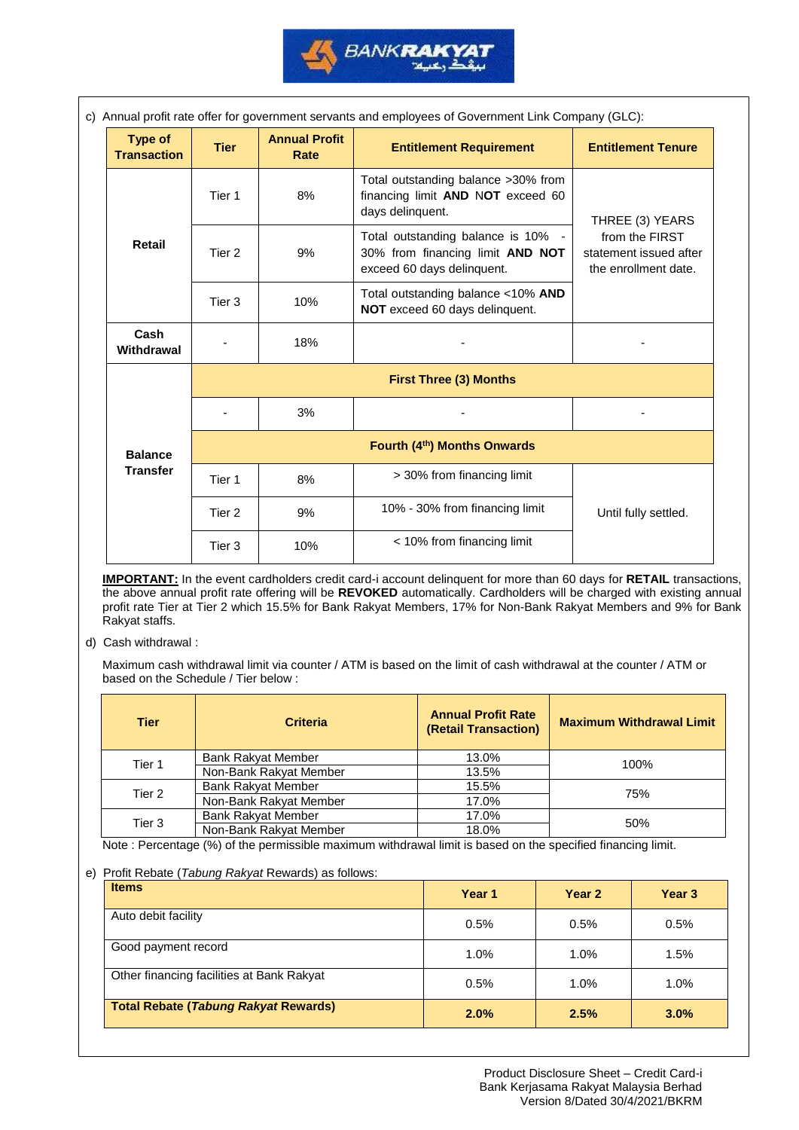

| c) Annual profit rate offer for government servants and employees of Government Link Company (GLC): |             |                              |                                                                                                      |                                                                  |
|-----------------------------------------------------------------------------------------------------|-------------|------------------------------|------------------------------------------------------------------------------------------------------|------------------------------------------------------------------|
| <b>Type of</b><br><b>Transaction</b>                                                                | <b>Tier</b> | <b>Annual Profit</b><br>Rate | <b>Entitlement Requirement</b>                                                                       | <b>Entitlement Tenure</b>                                        |
|                                                                                                     | Tier 1      | 8%                           | Total outstanding balance >30% from<br>financing limit AND NOT exceed 60<br>days delinquent.         | THREE (3) YEARS                                                  |
| <b>Retail</b>                                                                                       | Tier 2      | 9%                           | Total outstanding balance is 10% -<br>30% from financing limit AND NOT<br>exceed 60 days delinquent. | from the FIRST<br>statement issued after<br>the enrollment date. |
|                                                                                                     | Tier 3      | 10%                          | Total outstanding balance <10% AND<br>NOT exceed 60 days delinquent.                                 |                                                                  |
| Cash<br>Withdrawal                                                                                  |             | 18%                          |                                                                                                      |                                                                  |
|                                                                                                     |             |                              | <b>First Three (3) Months</b>                                                                        |                                                                  |
|                                                                                                     |             | 3%                           |                                                                                                      |                                                                  |
| <b>Balance</b>                                                                                      |             |                              | Fourth (4th) Months Onwards                                                                          |                                                                  |
| <b>Transfer</b>                                                                                     | Tier 1      | 8%                           | > 30% from financing limit                                                                           |                                                                  |
|                                                                                                     | Tier 2      | 9%                           | 10% - 30% from financing limit                                                                       | Until fully settled.                                             |
|                                                                                                     | Tier 3      | 10%                          | < 10% from financing limit                                                                           |                                                                  |

**IMPORTANT:** In the event cardholders credit card-i account delinquent for more than 60 days for **RETAIL** transactions, the above annual profit rate offering will be **REVOKED** automatically. Cardholders will be charged with existing annual profit rate Tier at Tier 2 which 15.5% for Bank Rakyat Members, 17% for Non-Bank Rakyat Members and 9% for Bank Rakyat staffs.

d) Cash withdrawal :

Maximum cash withdrawal limit via counter / ATM is based on the limit of cash withdrawal at the counter / ATM or based on the Schedule / Tier below :

| <b>Tier</b> | <b>Criteria</b>           | <b>Annual Profit Rate</b><br>(Retail Transaction) | <b>Maximum Withdrawal Limit</b> |  |
|-------------|---------------------------|---------------------------------------------------|---------------------------------|--|
| Tier 1      | <b>Bank Rakyat Member</b> | 13.0%                                             | 100%                            |  |
|             | Non-Bank Rakyat Member    | 13.5%                                             |                                 |  |
| Tier 2      | <b>Bank Rakyat Member</b> | 15.5%                                             | 75%                             |  |
|             | Non-Bank Rakyat Member    | 17.0%                                             |                                 |  |
| Tier 3      | <b>Bank Rakyat Member</b> | 17.0%                                             | 50%                             |  |
|             | Non-Bank Rakyat Member    | 18.0%                                             |                                 |  |

Note : Percentage (%) of the permissible maximum withdrawal limit is based on the specified financing limit.

## e) Profit Rebate (*Tabung Rakyat* Rewards) as follows:

| <b>Items</b>                                | Year 1 | Year 2  | Year <sub>3</sub> |
|---------------------------------------------|--------|---------|-------------------|
| Auto debit facility                         | 0.5%   | 0.5%    | 0.5%              |
| Good payment record                         | 1.0%   | $1.0\%$ | 1.5%              |
| Other financing facilities at Bank Rakyat   | 0.5%   | 1.0%    | 1.0%              |
| <b>Total Rebate (Tabung Rakyat Rewards)</b> | 2.0%   | 2.5%    | 3.0%              |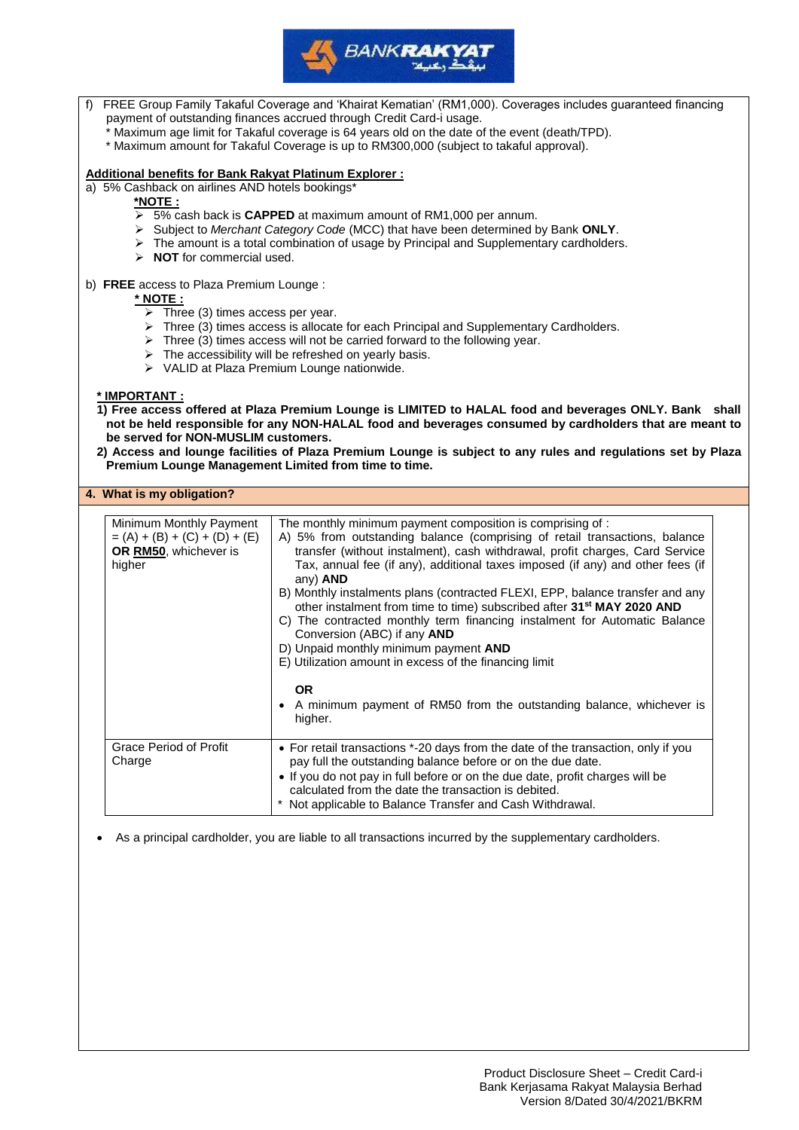

| FREE Group Family Takaful Coverage and 'Khairat Kematian' (RM1,000). Coverages includes guaranteed financing<br>payment of outstanding finances accrued through Credit Card-i usage.<br>* Maximum age limit for Takaful coverage is 64 years old on the date of the event (death/TPD).<br>* Maximum amount for Takaful Coverage is up to RM300,000 (subject to takaful approval).                                                                |                                                                                                                                                                                                                                                                                                                                                                                                                                                                                                                                                                                                                                                                                                              |  |  |  |
|--------------------------------------------------------------------------------------------------------------------------------------------------------------------------------------------------------------------------------------------------------------------------------------------------------------------------------------------------------------------------------------------------------------------------------------------------|--------------------------------------------------------------------------------------------------------------------------------------------------------------------------------------------------------------------------------------------------------------------------------------------------------------------------------------------------------------------------------------------------------------------------------------------------------------------------------------------------------------------------------------------------------------------------------------------------------------------------------------------------------------------------------------------------------------|--|--|--|
| Additional benefits for Bank Rakyat Platinum Explorer:<br>a) 5% Cashback on airlines AND hotels bookings*<br>*NOTE:<br>> 5% cash back is CAPPED at maximum amount of RM1,000 per annum.<br>> Subject to Merchant Category Code (MCC) that have been determined by Bank ONLY.<br>$\triangleright$ The amount is a total combination of usage by Principal and Supplementary cardholders.<br>$\triangleright$ NOT for commercial used.             |                                                                                                                                                                                                                                                                                                                                                                                                                                                                                                                                                                                                                                                                                                              |  |  |  |
| b) FREE access to Plaza Premium Lounge :<br>* NOTE:<br>$\triangleright$ Three (3) times access per year.                                                                                                                                                                                                                                                                                                                                         | > Three (3) times access is allocate for each Principal and Supplementary Cardholders.<br>$\triangleright$ Three (3) times access will not be carried forward to the following year.<br>$\triangleright$ The accessibility will be refreshed on yearly basis.<br>> VALID at Plaza Premium Lounge nationwide.                                                                                                                                                                                                                                                                                                                                                                                                 |  |  |  |
| * IMPORTANT :<br>1) Free access offered at Plaza Premium Lounge is LIMITED to HALAL food and beverages ONLY. Bank shall<br>not be held responsible for any NON-HALAL food and beverages consumed by cardholders that are meant to<br>be served for NON-MUSLIM customers.<br>2) Access and lounge facilities of Plaza Premium Lounge is subject to any rules and regulations set by Plaza<br>Premium Lounge Management Limited from time to time. |                                                                                                                                                                                                                                                                                                                                                                                                                                                                                                                                                                                                                                                                                                              |  |  |  |
| 4. What is my obligation?                                                                                                                                                                                                                                                                                                                                                                                                                        |                                                                                                                                                                                                                                                                                                                                                                                                                                                                                                                                                                                                                                                                                                              |  |  |  |
| Minimum Monthly Payment<br>$= (A) + (B) + (C) + (D) + (E)$<br>OR RM50, whichever is<br>higher                                                                                                                                                                                                                                                                                                                                                    | The monthly minimum payment composition is comprising of :<br>A) 5% from outstanding balance (comprising of retail transactions, balance<br>transfer (without instalment), cash withdrawal, profit charges, Card Service<br>Tax, annual fee (if any), additional taxes imposed (if any) and other fees (if<br>any) AND<br>B) Monthly instalments plans (contracted FLEXI, EPP, balance transfer and any<br>other instalment from time to time) subscribed after 31 <sup>st</sup> MAY 2020 AND<br>C) The contracted monthly term financing instalment for Automatic Balance<br>Conversion (ABC) if any AND<br>D) Unpaid monthly minimum payment AND<br>E) Utilization amount in excess of the financing limit |  |  |  |
| <b>OR</b><br>A minimum payment of RM50 from the outstanding balance, whichever is<br>higher.                                                                                                                                                                                                                                                                                                                                                     |                                                                                                                                                                                                                                                                                                                                                                                                                                                                                                                                                                                                                                                                                                              |  |  |  |
| Grace Period of Profit<br>Charge                                                                                                                                                                                                                                                                                                                                                                                                                 | • For retail transactions *-20 days from the date of the transaction, only if you<br>pay full the outstanding balance before or on the due date.<br>. If you do not pay in full before or on the due date, profit charges will be<br>calculated from the date the transaction is debited.<br>* Not applicable to Balance Transfer and Cash Withdrawal.                                                                                                                                                                                                                                                                                                                                                       |  |  |  |

• As a principal cardholder, you are liable to all transactions incurred by the supplementary cardholders.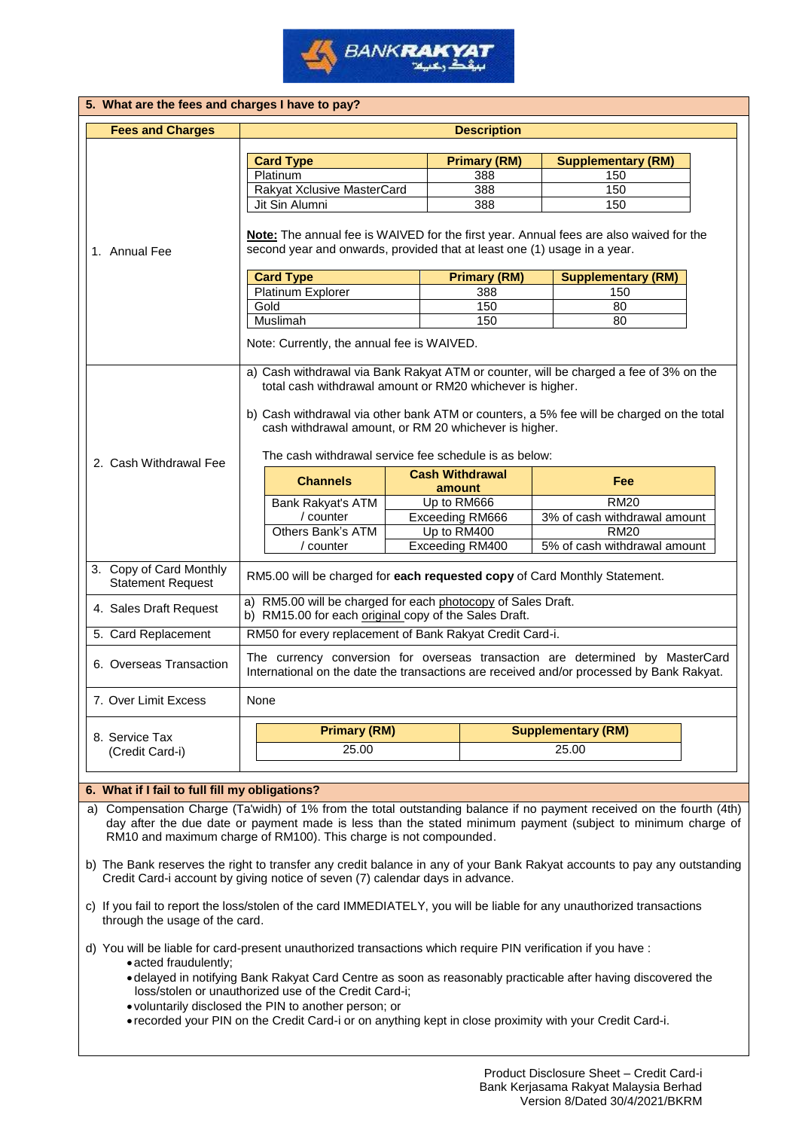

| 5. What are the fees and charges I have to pay?     |                                                                                                                                                                                                            |                                                                                                                                                                    |                           |                              |  |  |  |
|-----------------------------------------------------|------------------------------------------------------------------------------------------------------------------------------------------------------------------------------------------------------------|--------------------------------------------------------------------------------------------------------------------------------------------------------------------|---------------------------|------------------------------|--|--|--|
| <b>Fees and Charges</b>                             | <b>Description</b>                                                                                                                                                                                         |                                                                                                                                                                    |                           |                              |  |  |  |
|                                                     |                                                                                                                                                                                                            |                                                                                                                                                                    |                           |                              |  |  |  |
|                                                     | <b>Card Type</b>                                                                                                                                                                                           | <b>Primary (RM)</b>                                                                                                                                                |                           | <b>Supplementary (RM)</b>    |  |  |  |
|                                                     | Platinum                                                                                                                                                                                                   | 388                                                                                                                                                                |                           | 150                          |  |  |  |
|                                                     | Rakyat Xclusive MasterCard                                                                                                                                                                                 | 388                                                                                                                                                                |                           | 150                          |  |  |  |
|                                                     | Jit Sin Alumni                                                                                                                                                                                             | 388                                                                                                                                                                |                           | 150                          |  |  |  |
| 1. Annual Fee                                       |                                                                                                                                                                                                            | Note: The annual fee is WAIVED for the first year. Annual fees are also waived for the<br>second year and onwards, provided that at least one (1) usage in a year. |                           |                              |  |  |  |
|                                                     | <b>Card Type</b>                                                                                                                                                                                           | <b>Primary (RM)</b>                                                                                                                                                |                           | <b>Supplementary (RM)</b>    |  |  |  |
|                                                     | Platinum Explorer                                                                                                                                                                                          | 388                                                                                                                                                                |                           | 150                          |  |  |  |
|                                                     | Gold                                                                                                                                                                                                       | 150                                                                                                                                                                |                           | 80                           |  |  |  |
|                                                     | Muslimah                                                                                                                                                                                                   | 150                                                                                                                                                                |                           | 80                           |  |  |  |
|                                                     | Note: Currently, the annual fee is WAIVED.                                                                                                                                                                 |                                                                                                                                                                    |                           |                              |  |  |  |
|                                                     | b) Cash withdrawal via other bank ATM or counters, a 5% fee will be charged on the total<br>cash withdrawal amount, or RM 20 whichever is higher.<br>The cash withdrawal service fee schedule is as below: |                                                                                                                                                                    |                           |                              |  |  |  |
|                                                     |                                                                                                                                                                                                            |                                                                                                                                                                    |                           |                              |  |  |  |
| 2. Cash Withdrawal Fee                              | <b>Channels</b>                                                                                                                                                                                            | <b>Cash Withdrawal</b>                                                                                                                                             |                           | <b>Fee</b>                   |  |  |  |
|                                                     |                                                                                                                                                                                                            | amount                                                                                                                                                             |                           |                              |  |  |  |
|                                                     | Bank Rakyat's ATM                                                                                                                                                                                          | Up to RM666                                                                                                                                                        |                           | <b>RM20</b>                  |  |  |  |
|                                                     | / counter                                                                                                                                                                                                  | <b>Exceeding RM666</b>                                                                                                                                             |                           | 3% of cash withdrawal amount |  |  |  |
|                                                     | Others Bank's ATM<br>/ counter                                                                                                                                                                             | Up to RM400                                                                                                                                                        |                           | <b>RM20</b>                  |  |  |  |
| 3. Copy of Card Monthly<br><b>Statement Request</b> | RM5.00 will be charged for each requested copy of Card Monthly Statement.                                                                                                                                  | Exceeding RM400                                                                                                                                                    |                           | 5% of cash withdrawal amount |  |  |  |
| 4. Sales Draft Request                              | a) RM5.00 will be charged for each photocopy of Sales Draft.<br>b) RM15.00 for each original copy of the Sales Draft.                                                                                      |                                                                                                                                                                    |                           |                              |  |  |  |
|                                                     | RM50 for every replacement of Bank Rakyat Credit Card-i.                                                                                                                                                   |                                                                                                                                                                    |                           |                              |  |  |  |
| 5. Card Replacement<br>6. Overseas Transaction      | The currency conversion for overseas transaction are determined by MasterCard<br>International on the date the transactions are received and/or processed by Bank Rakyat.                                  |                                                                                                                                                                    |                           |                              |  |  |  |
| 7. Over Limit Excess                                | <b>None</b>                                                                                                                                                                                                |                                                                                                                                                                    |                           |                              |  |  |  |
|                                                     | <b>Primary (RM)</b>                                                                                                                                                                                        |                                                                                                                                                                    | <b>Supplementary (RM)</b> |                              |  |  |  |
| 8. Service Tax<br>(Credit Card-i)                   | 25.00                                                                                                                                                                                                      |                                                                                                                                                                    | 25.00                     |                              |  |  |  |

## **6. What if I fail to full fill my obligations?**

a) Compensation Charge (Ta'widh) of 1% from the total outstanding balance if no payment received on the fourth (4th) day after the due date or payment made is less than the stated minimum payment (subject to minimum charge of RM10 and maximum charge of RM100). This charge is not compounded.

b) The Bank reserves the right to transfer any credit balance in any of your Bank Rakyat accounts to pay any outstanding Credit Card-i account by giving notice of seven (7) calendar days in advance.

c) If you fail to report the loss/stolen of the card IMMEDIATELY, you will be liable for any unauthorized transactions through the usage of the card.

d) You will be liable for card-present unauthorized transactions which require PIN verification if you have : • acted fraudulently;

- delayed in notifying Bank Rakyat Card Centre as soon as reasonably practicable after having discovered the loss/stolen or unauthorized use of the Credit Card-i;
- voluntarily disclosed the PIN to another person; or
- recorded your PIN on the Credit Card-i or on anything kept in close proximity with your Credit Card-i.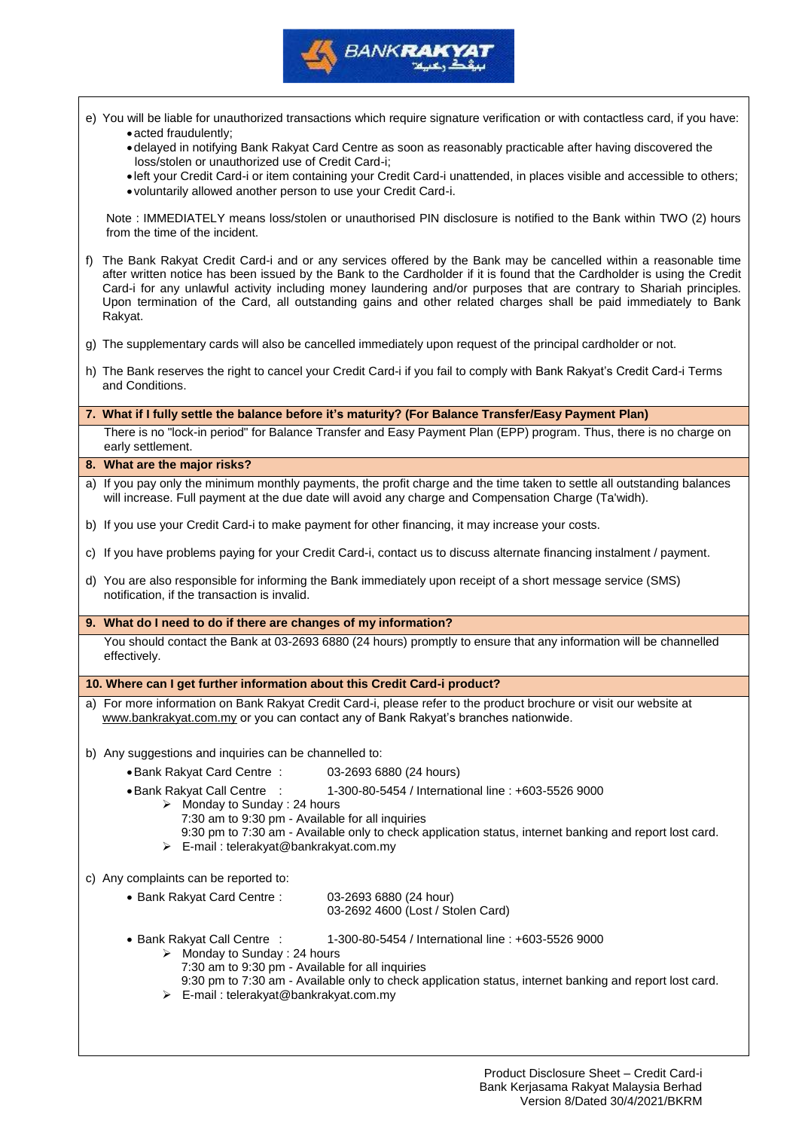

|    | e) You will be liable for unauthorized transactions which require signature verification or with contactless card, if you have:                                                                                                                                                                                                                                                                                                                                                                    |
|----|----------------------------------------------------------------------------------------------------------------------------------------------------------------------------------------------------------------------------------------------------------------------------------------------------------------------------------------------------------------------------------------------------------------------------------------------------------------------------------------------------|
|    | • acted fraudulently;<br>. delayed in notifying Bank Rakyat Card Centre as soon as reasonably practicable after having discovered the                                                                                                                                                                                                                                                                                                                                                              |
|    | loss/stolen or unauthorized use of Credit Card-i;<br>. left your Credit Card-i or item containing your Credit Card-i unattended, in places visible and accessible to others;                                                                                                                                                                                                                                                                                                                       |
|    | . voluntarily allowed another person to use your Credit Card-i.                                                                                                                                                                                                                                                                                                                                                                                                                                    |
|    | Note : IMMEDIATELY means loss/stolen or unauthorised PIN disclosure is notified to the Bank within TWO (2) hours<br>from the time of the incident.                                                                                                                                                                                                                                                                                                                                                 |
| f) | The Bank Rakyat Credit Card-i and or any services offered by the Bank may be cancelled within a reasonable time<br>after written notice has been issued by the Bank to the Cardholder if it is found that the Cardholder is using the Credit<br>Card-i for any unlawful activity including money laundering and/or purposes that are contrary to Shariah principles.<br>Upon termination of the Card, all outstanding gains and other related charges shall be paid immediately to Bank<br>Rakyat. |
| G) | The supplementary cards will also be cancelled immediately upon request of the principal cardholder or not.                                                                                                                                                                                                                                                                                                                                                                                        |
|    | h) The Bank reserves the right to cancel your Credit Card-i if you fail to comply with Bank Rakyat's Credit Card-i Terms<br>and Conditions.                                                                                                                                                                                                                                                                                                                                                        |
|    |                                                                                                                                                                                                                                                                                                                                                                                                                                                                                                    |
|    | 7. What if I fully settle the balance before it's maturity? (For Balance Transfer/Easy Payment Plan)                                                                                                                                                                                                                                                                                                                                                                                               |
|    | There is no "lock-in period" for Balance Transfer and Easy Payment Plan (EPP) program. Thus, there is no charge on<br>early settlement.                                                                                                                                                                                                                                                                                                                                                            |
|    | 8. What are the major risks?                                                                                                                                                                                                                                                                                                                                                                                                                                                                       |
|    | a) If you pay only the minimum monthly payments, the profit charge and the time taken to settle all outstanding balances<br>will increase. Full payment at the due date will avoid any charge and Compensation Charge (Ta'widh).                                                                                                                                                                                                                                                                   |
|    | b) If you use your Credit Card-i to make payment for other financing, it may increase your costs.                                                                                                                                                                                                                                                                                                                                                                                                  |
|    | c) If you have problems paying for your Credit Card-i, contact us to discuss alternate financing instalment / payment.                                                                                                                                                                                                                                                                                                                                                                             |
|    | d) You are also responsible for informing the Bank immediately upon receipt of a short message service (SMS)<br>notification, if the transaction is invalid.                                                                                                                                                                                                                                                                                                                                       |
|    | 9. What do I need to do if there are changes of my information?                                                                                                                                                                                                                                                                                                                                                                                                                                    |
|    | You should contact the Bank at 03-2693 6880 (24 hours) promptly to ensure that any information will be channelled<br>effectively.                                                                                                                                                                                                                                                                                                                                                                  |
|    | 10. Where can I get further information about this Credit Card-i product?                                                                                                                                                                                                                                                                                                                                                                                                                          |
|    | a) For more information on Bank Rakyat Credit Card-i, please refer to the product brochure or visit our website at                                                                                                                                                                                                                                                                                                                                                                                 |
|    | www.bankrakyat.com.my or you can contact any of Bank Rakyat's branches nationwide.                                                                                                                                                                                                                                                                                                                                                                                                                 |
|    | b) Any suggestions and inquiries can be channelled to:                                                                                                                                                                                                                                                                                                                                                                                                                                             |
|    | • Bank Rakyat Card Centre:<br>03-2693 6880 (24 hours)                                                                                                                                                                                                                                                                                                                                                                                                                                              |
|    | • Bank Rakyat Call Centre<br>1-300-80-5454 / International line: +603-5526 9000                                                                                                                                                                                                                                                                                                                                                                                                                    |
|    | $\triangleright$ Monday to Sunday : 24 hours<br>7:30 am to 9:30 pm - Available for all inquiries                                                                                                                                                                                                                                                                                                                                                                                                   |
|    | 9:30 pm to 7:30 am - Available only to check application status, internet banking and report lost card.                                                                                                                                                                                                                                                                                                                                                                                            |
|    | > E-mail: telerakyat@bankrakyat.com.my                                                                                                                                                                                                                                                                                                                                                                                                                                                             |
|    | c) Any complaints can be reported to:                                                                                                                                                                                                                                                                                                                                                                                                                                                              |
|    | • Bank Rakyat Card Centre:<br>03-2693 6880 (24 hour)<br>03-2692 4600 (Lost / Stolen Card)                                                                                                                                                                                                                                                                                                                                                                                                          |
|    | • Bank Rakyat Call Centre :<br>1-300-80-5454 / International line: +603-5526 9000                                                                                                                                                                                                                                                                                                                                                                                                                  |
|    | $\triangleright$ Monday to Sunday : 24 hours                                                                                                                                                                                                                                                                                                                                                                                                                                                       |
|    | 7:30 am to 9:30 pm - Available for all inquiries                                                                                                                                                                                                                                                                                                                                                                                                                                                   |
|    | 9:30 pm to 7:30 am - Available only to check application status, internet banking and report lost card.                                                                                                                                                                                                                                                                                                                                                                                            |

➢ E-mail : telerakyat@bankrakyat.com.my